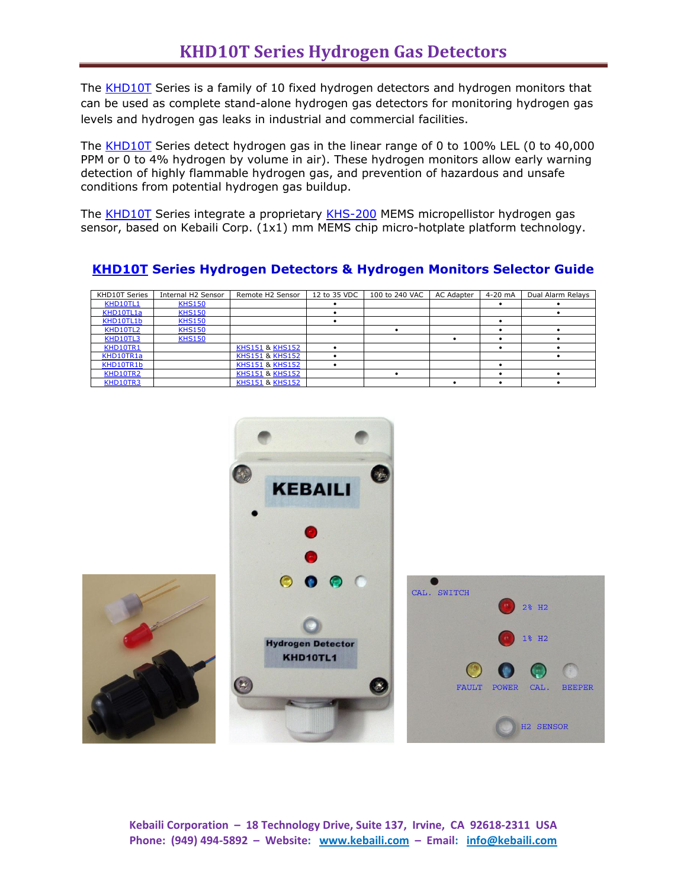The [KHD10T](http://www.kebaili.com/cat-hydrogen-gas-detectors-hydrogen-gas-monitors---fixed.cfm) Series is a family of 10 fixed hydrogen detectors and hydrogen monitors that can be used as complete stand-alone hydrogen gas detectors for monitoring hydrogen gas levels and hydrogen gas leaks in industrial and commercial facilities.

The [KHD10T](http://www.kebaili.com/cat-hydrogen-gas-detectors-hydrogen-gas-monitors---fixed.cfm) Series detect hydrogen gas in the linear range of 0 to 100% LEL (0 to 40,000 PPM or 0 to 4% hydrogen by volume in air). These hydrogen monitors allow early warning detection of highly flammable hydrogen gas, and prevention of hazardous and unsafe conditions from potential hydrogen gas buildup.

The **KHD10T** Series integrate a proprietary [KHS-200](http://www.kebaili.com/pd-khs-200-hydrogen-sensor.cfm) MEMS micropellistor hydrogen gas sensor, based on Kebaili Corp. (1x1) mm MEMS chip micro-hotplate platform technology.

| KHD10T Series | Internal H2 Sensor | Remote H2 Sensor           | 12 to 35 VDC | 100 to 240 VAC | AC Adapter | $4-20$ mA | Dual Alarm Relays |
|---------------|--------------------|----------------------------|--------------|----------------|------------|-----------|-------------------|
| KHD10TL1      | <b>KHS150</b>      |                            |              |                |            |           |                   |
| KHD10TL1a     | <b>KHS150</b>      |                            |              |                |            |           |                   |
| KHD10TL1b     | <b>KHS150</b>      |                            |              |                |            |           |                   |
| KHD10TL2      | <b>KHS150</b>      |                            |              |                |            |           |                   |
| KHD10TL3      | <b>KHS150</b>      |                            |              |                |            |           |                   |
| KHD10TR1      |                    | <b>KHS151 &amp; KHS152</b> |              |                |            |           |                   |
| KHD10TR1a     |                    | <b>KHS151 &amp; KHS152</b> |              |                |            |           |                   |
| KHD10TR1b     |                    | <b>KHS151 &amp; KHS152</b> |              |                |            |           |                   |
| KHD10TR2      |                    | <b>KHS151 &amp; KHS152</b> |              |                |            |           |                   |
| KHD10TR3      |                    | <b>KHS151 &amp; KHS152</b> |              |                |            |           |                   |

## **[KHD10T](http://www.kebaili.com/cat-hydrogen-gas-detectors-hydrogen-gas-monitors---fixed.cfm) Series Hydrogen Detectors & Hydrogen Monitors Selector Guide**

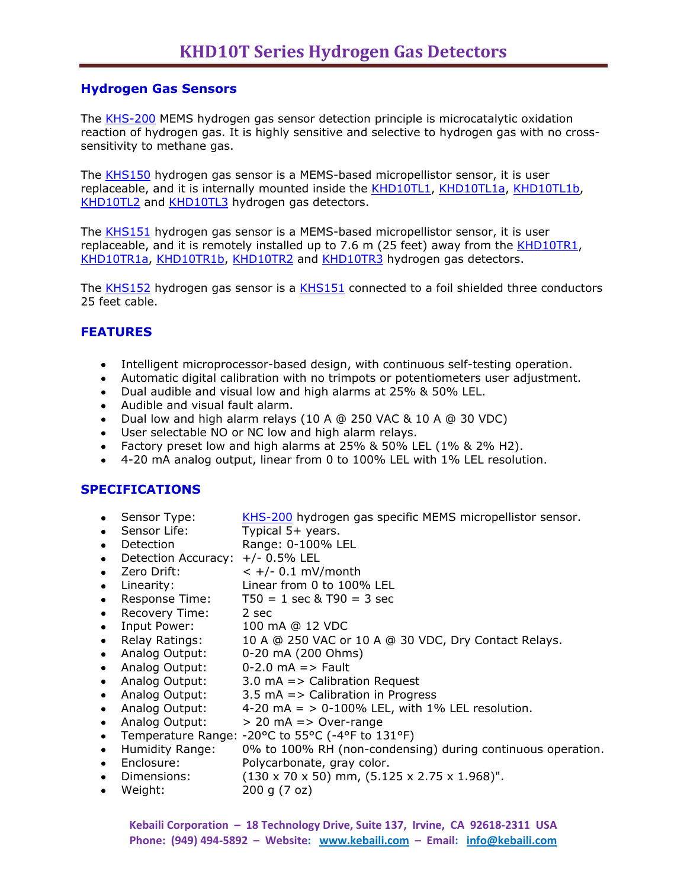#### **Hydrogen Gas Sensors**

The [KHS-200](http://www.kebaili.com/pd-khs-200-hydrogen-sensor.cfm) MEMS hydrogen gas sensor detection principle is microcatalytic oxidation reaction of hydrogen gas. It is highly sensitive and selective to hydrogen gas with no crosssensitivity to methane gas.

The [KHS150](http://www.kebaili.com/pd-khs150.cfm) hydrogen gas sensor is a MEMS-based micropellistor sensor, it is user replaceable, and it is internally mounted inside the [KHD10TL1,](http://www.kebaili.com/pd-khd10tl1.cfm) [KHD10TL1a,](http://www.kebaili.com/pd-khd10tl1a.cfm) [KHD10TL1b,](http://www.kebaili.com/pd-khd10tl1b.cfm) [KHD10TL2](http://www.kebaili.com/pd-khd10tl2.cfm) and [KHD10TL3](http://www.kebaili.com/pd-khd10tl3.cfm) hydrogen gas detectors.

The [KHS151](http://www.kebaili.com/pd-khs151.cfm) hydrogen gas sensor is a MEMS-based micropellistor sensor, it is user replaceable, and it is remotely installed up to 7.6 m (25 feet) away from the [KHD10TR1,](http://www.kebaili.com/pd-khd10tr1.cfm) [KHD10TR1a,](http://www.kebaili.com/pd-khd10tr1a.cfm) [KHD10TR1b,](http://www.kebaili.com/pd-khd10tr1b.cfm) [KHD10TR2](http://www.kebaili.com/pd-khd10tr2.cfm) and [KHD10TR3](http://www.kebaili.com/pd-khd10tr3.cfm) hydrogen gas detectors.

The [KHS152](http://www.kebaili.com/pd-khs152.cfm) hydrogen gas sensor is a [KHS151](http://www.kebaili.com/pd-khs151.cfm) connected to a foil shielded three conductors 25 feet cable.

#### **FEATURES**

- Intelligent microprocessor-based design, with continuous self-testing operation.
- Automatic digital calibration with no trimpots or potentiometers user adjustment.
- Dual audible and visual low and high alarms at 25% & 50% LEL.
- Audible and visual fault alarm.
- Dual low and high alarm relays (10 A @ 250 VAC & 10 A @ 30 VDC)
- User selectable NO or NC low and high alarm relays.
- Factory preset low and high alarms at  $25\%$  &  $50\%$  LEL  $(1\%$  &  $2\%$  H2).
- 4-20 mA analog output, linear from 0 to 100% LEL with 1% LEL resolution.

#### **SPECIFICATIONS**

- Sensor Type: [KHS-200](http://www.kebaili.com/pd-khs-200-hydrogen-sensor.cfm) hydrogen gas specific MEMS micropellistor sensor.
- Sensor Life: Typical 5+ years.
- Detection Range: 0-100% LEL
- Detection Accuracy:  $+/-$  0.5% LEL
- Zero Drift:  $< +/- 0.1$  mV/month
- Linearity: Linear from 0 to 100% LEL
- Response Time:  $T50 = 1$  sec & T90 = 3 sec
- Recovery Time: 2 sec
- Input Power: 100 mA @ 12 VDC
- 10 A @ 250 VAC or 10 A @ 30 VDC, Dry Contact Relays.
- Analog Output: 0-20 mA (200 Ohms)
- Analog Output: 0-2.0 mA => Fault
- Analog Output: 3.0 mA => Calibration Request
- Analog Output: 3.5 mA => Calibration in Progress
- Analog Output:  $4-20 \text{ mA} = 9-100\%$  LEL, with 1% LEL resolution.
- Analog Output:  $> 20 \text{ mA}$  = > Over-range
- Temperature Range: -20°C to 55°C (-4°F to 131°F)  $\bullet$
- Humidity Range: 0% to 100% RH (non-condensing) during continuous operation.
- Enclosure: Polycarbonate, gray color.
- Dimensions:  $(130 \times 70 \times 50)$  mm,  $(5.125 \times 2.75 \times 1.968)$ ".
- Weight: 200 g (7 oz)